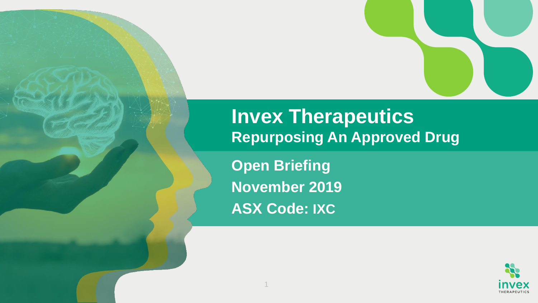### **Invex Therapeutics Repurposing An Approved Drug**

**Open Briefing November 2019 ASX Code: IXC**

1

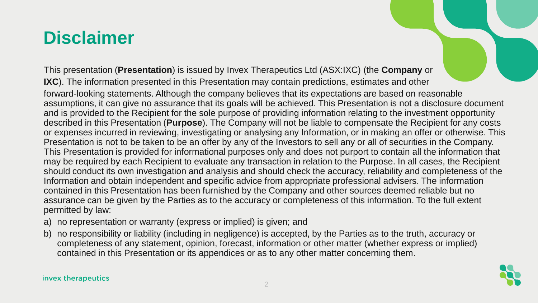### **Disclaimer**

This presentation (**Presentation**) is issued by Invex Therapeutics Ltd (ASX:IXC) (the **Company** or **IXC**). The information presented in this Presentation may contain predictions, estimates and other forward-looking statements. Although the company believes that its expectations are based on reasonable assumptions, it can give no assurance that its goals will be achieved. This Presentation is not a disclosure document and is provided to the Recipient for the sole purpose of providing information relating to the investment opportunity described in this Presentation (**Purpose**). The Company will not be liable to compensate the Recipient for any costs or expenses incurred in reviewing, investigating or analysing any Information, or in making an offer or otherwise. This Presentation is not to be taken to be an offer by any of the Investors to sell any or all of securities in the Company. This Presentation is provided for informational purposes only and does not purport to contain all the information that may be required by each Recipient to evaluate any transaction in relation to the Purpose. In all cases, the Recipient should conduct its own investigation and analysis and should check the accuracy, reliability and completeness of the Information and obtain independent and specific advice from appropriate professional advisers. The information contained in this Presentation has been furnished by the Company and other sources deemed reliable but no assurance can be given by the Parties as to the accuracy or completeness of this information. To the full extent permitted by law:

- a) no representation or warranty (express or implied) is given; and
- b) no responsibility or liability (including in negligence) is accepted, by the Parties as to the truth, accuracy or completeness of any statement, opinion, forecast, information or other matter (whether express or implied) contained in this Presentation or its appendices or as to any other matter concerning them.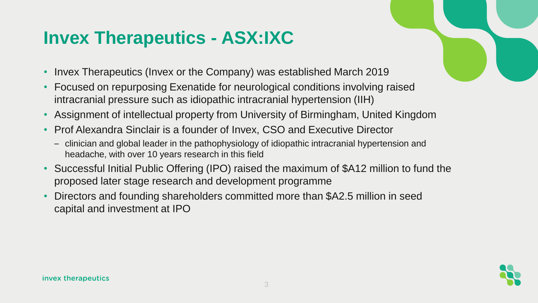# **Invex Therapeutics - ASX:IXC**

- Invex Therapeutics (Invex or the Company) was established March 2019
- Focused on repurposing Exenatide for neurological conditions involving raised intracranial pressure such as idiopathic intracranial hypertension (IIH)
- Assignment of intellectual property from University of Birmingham, United Kingdom
- Prof Alexandra Sinclair is a founder of Invex, CSO and Executive Director
	- clinician and global leader in the pathophysiology of idiopathic intracranial hypertension and headache, with over 10 years research in this field
- Successful Initial Public Offering (IPO) raised the maximum of \$A12 million to fund the proposed later stage research and development programme
- Directors and founding shareholders committed more than \$A2.5 million in seed capital and investment at IPO

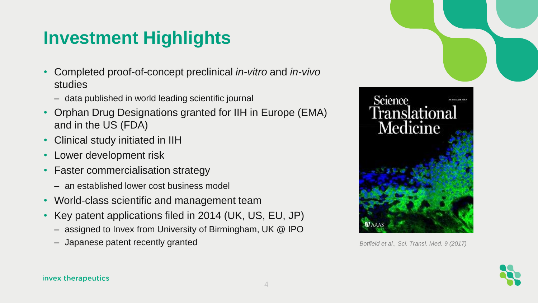# **Investment Highlights**

- Completed proof-of-concept preclinical *in-vitro* and *in-vivo*  studies
	- data published in world leading scientific journal
- Orphan Drug Designations granted for IIH in Europe (EMA) and in the US (FDA)
- Clinical study initiated in IIH
- Lower development risk
- Faster commercialisation strategy
	- an established lower cost business model
- World-class scientific and management team
- Key patent applications filed in 2014 (UK, US, EU, JP)
	- assigned to Invex from University of Birmingham, UK @ IPO
	- Japanese patent recently granted *Botfield et al., Sci. Transl. Med. 9 (2017)*



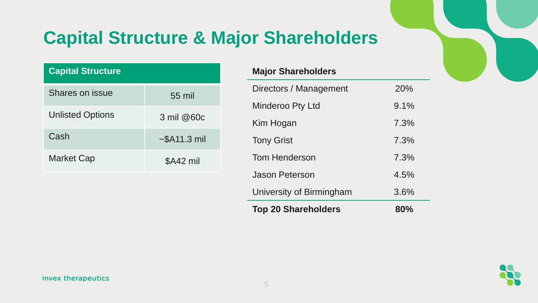# **Capital Structure & Major Shareholders**

| <b>Capital Structure</b> |                    |
|--------------------------|--------------------|
| Shares on issue          | $55 \text{ mil}$   |
| <b>Unlisted Options</b>  | $3$ mil @60 $c$    |
| Cash                     | $\sim$ \$A11.3 mil |
| <b>Market Cap</b>        | \$A42 mil          |

### **Major Shareholders**

| <b>Top 20 Shareholders</b> | $80\%$ |
|----------------------------|--------|
| University of Birmingham   | 3.6%   |
| Jason Peterson             | 4.5%   |
| Tom Henderson              | 7.3%   |
| <b>Tony Grist</b>          | 7.3%   |
| Kim Hogan                  | 7.3%   |
| Minderoo Pty Ltd           | 9.1%   |
| Directors / Management     | 20%    |

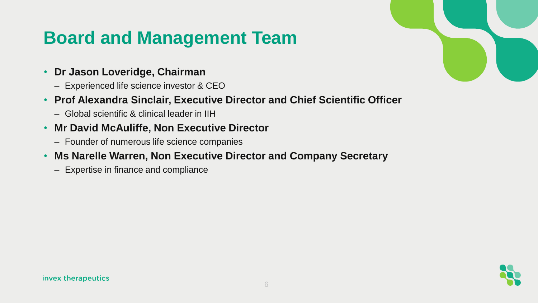### **Board and Management Team**

- **Dr Jason Loveridge, Chairman**
	- Experienced life science investor & CEO
- **Prof Alexandra Sinclair, Executive Director and Chief Scientific Officer**
	- Global scientific & clinical leader in IIH
- **Mr David McAuliffe, Non Executive Director**
	- Founder of numerous life science companies
- **Ms Narelle Warren, Non Executive Director and Company Secretary**
	- Expertise in finance and compliance

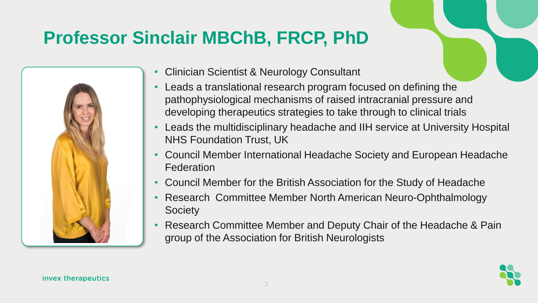# **Professor Sinclair MBChB, FRCP, PhD**



- Clinician Scientist & Neurology Consultant
- Leads a translational research program focused on defining the pathophysiological mechanisms of raised intracranial pressure and developing therapeutics strategies to take through to clinical trials
- Leads the multidisciplinary headache and IIH service at University Hospital NHS Foundation Trust, UK
- Council Member International Headache Society and European Headache Federation
- Council Member for the British Association for the Study of Headache
- Research Committee Member North American Neuro-Ophthalmology **Society**
- Research Committee Member and Deputy Chair of the Headache & Pain group of the Association for British Neurologists

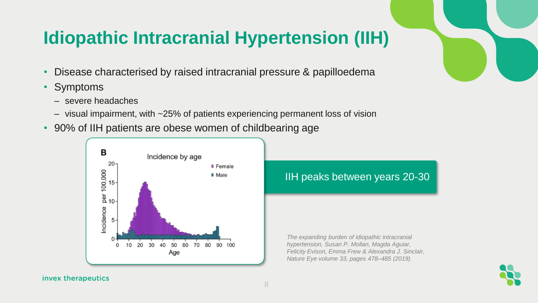### **Idiopathic Intracranial Hypertension (IIH)**

- Disease characterised by raised intracranial pressure & papilloedema
- **Symptoms** 
	- severe headaches
	- visual impairment, with ~25% of patients experiencing permanent loss of vision
- 90% of IIH patients are obese women of childbearing age



IIH peaks between years 20-30

*The expanding burden of idiopathic intracranial hypertension, Susan P. Mollan, Magda Aguiar, Felicity Evison, Emma Frew & Alexandra J. Sinclair, Nature Eye volume 33, pages 478–485 (2019)* 

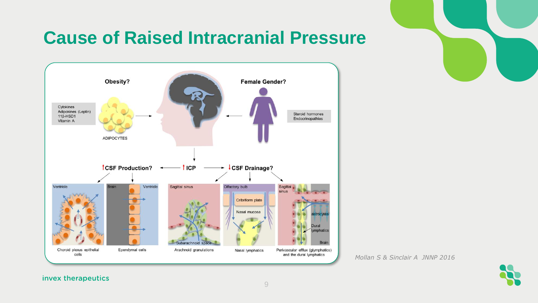# **Cause of Raised Intracranial Pressure**



*Mollan S & Sinclair A JNNP 2016*

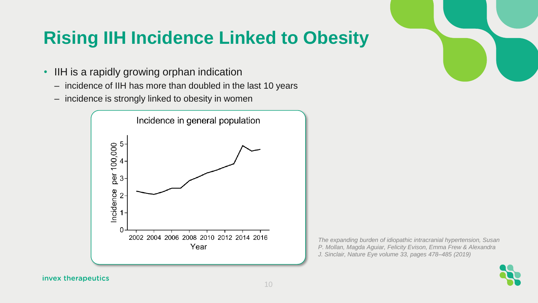## **Rising IIH Incidence Linked to Obesity**

- IIH is a rapidly growing orphan indication
	- incidence of IIH has more than doubled in the last 10 years
	- incidence is strongly linked to obesity in women





*The expanding burden of idiopathic intracranial hypertension, Susan P. Mollan, Magda Aguiar, Felicity Evison, Emma Frew & Alexandra J. Sinclair, Nature Eye volume 33, pages 478–485 (2019)* 

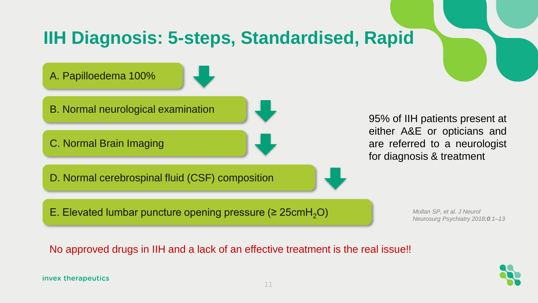# **IIH Diagnosis: 5-steps, Standardised, Rapid**

A. Papilloedema 100%

B. Normal neurological examination

C. Normal Brain Imaging

D. Normal cerebrospinal fluid (CSF) composition

E. Elevated lumbar puncture opening pressure ( $\geq 25$ cmH<sub>2</sub>O)

95% of IIH patients present at either A&E or opticians and are referred to a neurologist for diagnosis & treatment

> *Mollan SP, et al. J Neurol Neurosurg Psychiatry 2018;0:1–13*

No approved drugs in IIH and a lack of an effective treatment is the real issue!!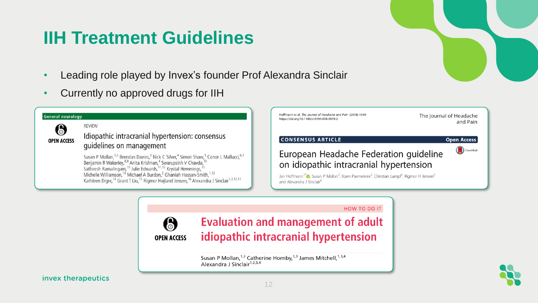### **IIH Treatment Guidelines**

- Leading role played by Invex's founder Prof Alexandra Sinclair
- Currently no approved drugs for IIH





**HOW TO DO IT** 





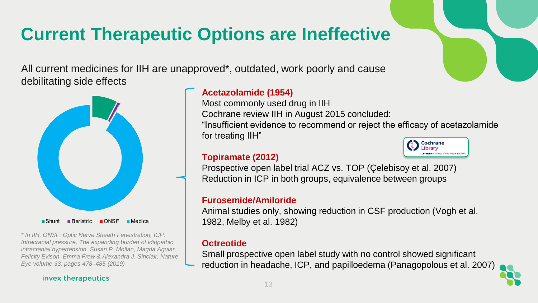## **Current Therapeutic Options are Ineffective**

All current medicines for IIH are unapproved\*, outdated, work poorly and cause debilitating side effects



Shunt Bariatric ONSF Medical

*\* In IIH, ONSF: Optic Nerve Sheath Fenestration, ICP: Intracranial pressure, The expanding burden of idiopathic intracranial hypertension, Susan P. Mollan, Magda Aguiar, Felicity Evison, Emma Frew & Alexandra J. Sinclair, Nature Eye volume 33, pages 478–485 (2019)* 

#### invex therapeutics

### **Acetazolamide (1954)**

Most commonly used drug in IIH Cochrane review IIH in August 2015 concluded: "Insufficient evidence to recommend or reject the efficacy of acetazolamide for treating IIH" Cochrane

### **Topiramate (2012)**

Prospective open label trial ACZ vs. TOP (Çelebisoy et al. 2007) Reduction in ICP in both groups, equivalence between groups

### **Furosemide/Amiloride**

Animal studies only, showing reduction in CSF production (Vogh et al. 1982, Melby et al. 1982)

### **Octreotide**

Small prospective open label study with no control showed significant reduction in headache, ICP, and papilloedema (Panagopolous et al. 2007)



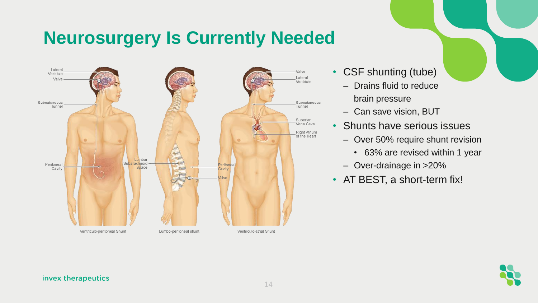### **Neurosurgery Is Currently Needed**



- CSF shunting (tube)
	- Drains fluid to reduce brain pressure
	- Can save vision, BUT
- Shunts have serious issues
	- Over 50% require shunt revision
		- 63% are revised within 1 year
	- Over-drainage in >20%
- AT BEST, a short-term fix!

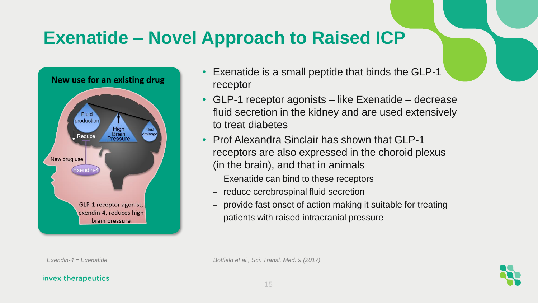### **Exenatide – Novel Approach to Raised ICP**



- Exenatide is a small peptide that binds the GLP-1 receptor
- GLP-1 receptor agonists like Exenatide decrease fluid secretion in the kidney and are used extensively to treat diabetes
- Prof Alexandra Sinclair has shown that GLP-1 receptors are also expressed in the choroid plexus (in the brain), and that in animals
	- Exenatide can bind to these receptors
	- reduce cerebrospinal fluid secretion
	- provide fast onset of action making it suitable for treating patients with raised intracranial pressure

*Exendin-4 = Exenatide Botfield et al., Sci. Transl. Med. 9 (2017)* 

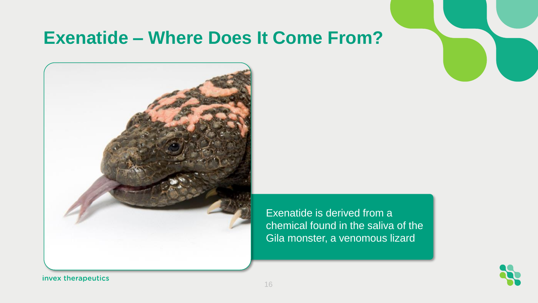### **Exenatide – Where Does It Come From?**



Exenatide is derived from a chemical found in the saliva of the Gila monster, a venomous lizard

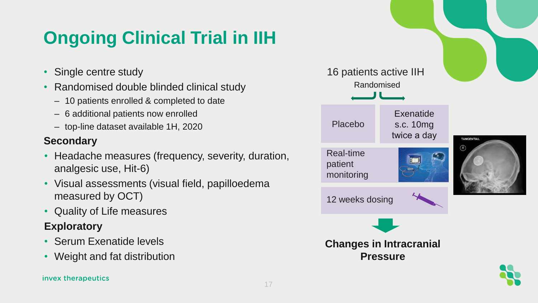# **Ongoing Clinical Trial in IIH**

- Single centre study
- Randomised double blinded clinical study
	- 10 patients enrolled & completed to date
	- 6 additional patients now enrolled
	- top-line dataset available 1H, 2020

### **Secondary**

- Headache measures (frequency, severity, duration, analgesic use, Hit-6)
- Visual assessments (visual field, papilloedema measured by OCT)
- Quality of Life measures

### **Exploratory**

- Serum Exenatide levels
- Weight and fat distribution

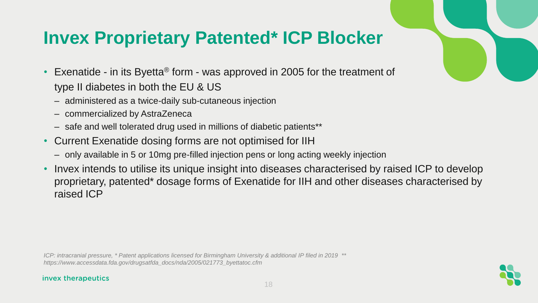### **Invex Proprietary Patented\* ICP Blocker**

- Exenatide in its Byetta® form was approved in 2005 for the treatment of type II diabetes in both the EU & US
	- administered as a twice-daily sub-cutaneous injection
	- commercialized by AstraZeneca
	- safe and well tolerated drug used in millions of diabetic patients\*\*
- Current Exenatide dosing forms are not optimised for IIH
	- only available in 5 or 10mg pre-filled injection pens or long acting weekly injection
- Invex intends to utilise its unique insight into diseases characterised by raised ICP to develop proprietary, patented\* dosage forms of Exenatide for IIH and other diseases characterised by raised ICP

*ICP: intracranial pressure, \* Patent applications licensed for Birmingham University & additional IP filed in 2019 \*\* https://www.accessdata.fda.gov/drugsatfda\_docs/nda/2005/021773\_byettatoc.cfm*

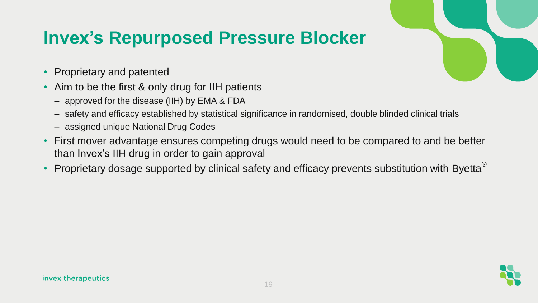### **Invex's Repurposed Pressure Blocker**

- Proprietary and patented
- Aim to be the first & only drug for IIH patients
	- approved for the disease (IIH) by EMA & FDA
	- safety and efficacy established by statistical significance in randomised, double blinded clinical trials
	- assigned unique National Drug Codes
- First mover advantage ensures competing drugs would need to be compared to and be better than Invex's IIH drug in order to gain approval
- Proprietary dosage supported by clinical safety and efficacy prevents substitution with Byetta<sup>®</sup>

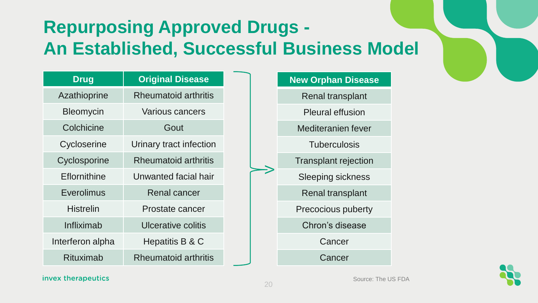# **Repurposing Approved Drugs - An Established, Successful Business Model**

| <b>Drug</b>      | <b>Original Disease</b>     |
|------------------|-----------------------------|
| Azathioprine     | <b>Rheumatoid arthritis</b> |
| Bleomycin        | Various cancers             |
| Colchicine       | Gout                        |
| Cycloserine      | Urinary tract infection     |
| Cyclosporine     | <b>Rheumatoid arthritis</b> |
| Eflornithine     | Unwanted facial hair        |
| Everolimus       | <b>Renal cancer</b>         |
| Histrelin        | Prostate cancer             |
| Infliximab       | Ulcerative colitis          |
| Interferon alpha | Hepatitis B & C             |
| Rituximab        | <b>Rheumatoid arthritis</b> |

| <b>New Orphan Disease</b>   |
|-----------------------------|
| Renal transplant            |
| <b>Pleural effusion</b>     |
| Mediteranien fever          |
| <b>Tuberculosis</b>         |
| <b>Transplant rejection</b> |
| Sleeping sickness           |
| <b>Renal transplant</b>     |
| Precocious puberty          |
| Chron's disease             |
| Cancer                      |
| Cancer                      |

#### invex therapeutics

 $\bm{\geq}$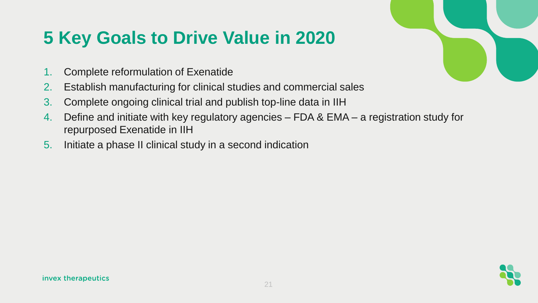# **5 Key Goals to Drive Value in 2020**

- 1. Complete reformulation of Exenatide
- 2. Establish manufacturing for clinical studies and commercial sales
- 3. Complete ongoing clinical trial and publish top-line data in IIH
- 4. Define and initiate with key regulatory agencies FDA & EMA a registration study for repurposed Exenatide in IIH
- 5. Initiate a phase II clinical study in a second indication



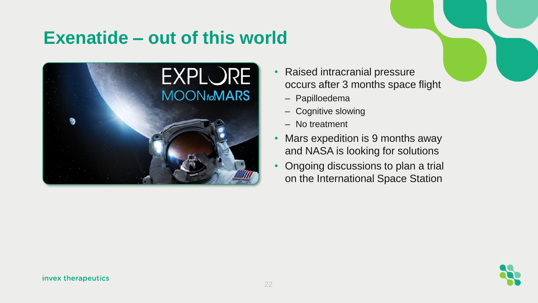### **Exenatide – out of this world**



- Raised intracranial pressure occurs after 3 months space flight
	- Papilloedema
	- Cognitive slowing
	- No treatment
- Mars expedition is 9 months away and NASA is looking for solutions
- Ongoing discussions to plan a trial on the International Space Station